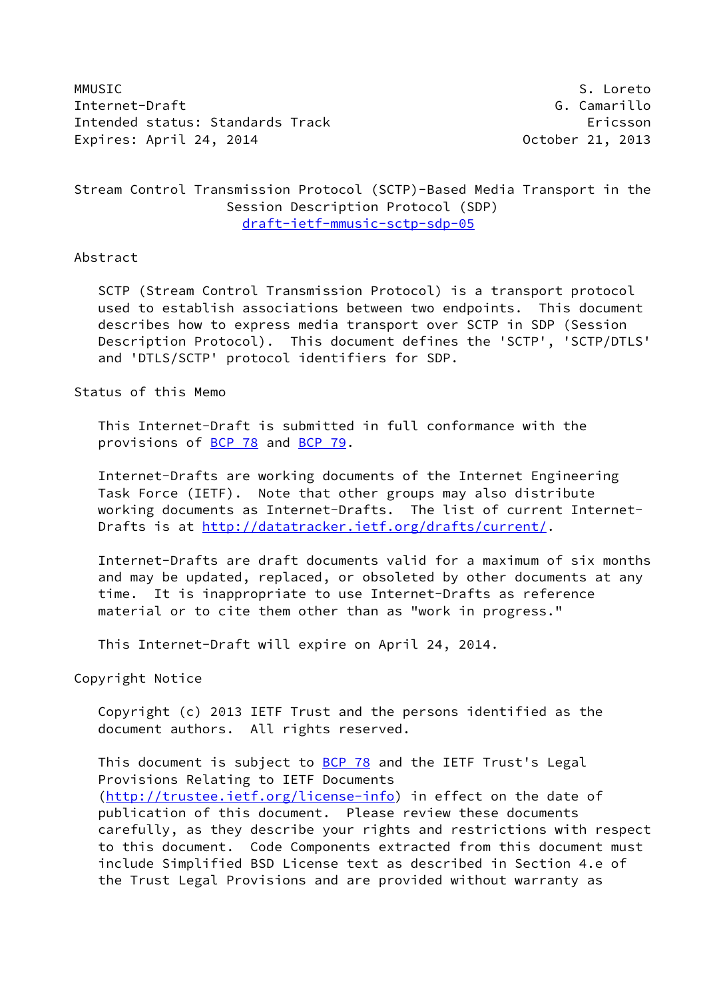MMUSIC S. Loreto Internet-Draft G. Camarillo Intended status: Standards Track Ericsson Expires: April 24, 2014 **Canadian Control** Corober 21, 2013

## Stream Control Transmission Protocol (SCTP)-Based Media Transport in the Session Description Protocol (SDP) [draft-ietf-mmusic-sctp-sdp-05](https://datatracker.ietf.org/doc/pdf/draft-ietf-mmusic-sctp-sdp-05)

#### Abstract

 SCTP (Stream Control Transmission Protocol) is a transport protocol used to establish associations between two endpoints. This document describes how to express media transport over SCTP in SDP (Session Description Protocol). This document defines the 'SCTP', 'SCTP/DTLS' and 'DTLS/SCTP' protocol identifiers for SDP.

## Status of this Memo

 This Internet-Draft is submitted in full conformance with the provisions of [BCP 78](https://datatracker.ietf.org/doc/pdf/bcp78) and [BCP 79](https://datatracker.ietf.org/doc/pdf/bcp79).

 Internet-Drafts are working documents of the Internet Engineering Task Force (IETF). Note that other groups may also distribute working documents as Internet-Drafts. The list of current Internet Drafts is at<http://datatracker.ietf.org/drafts/current/>.

 Internet-Drafts are draft documents valid for a maximum of six months and may be updated, replaced, or obsoleted by other documents at any time. It is inappropriate to use Internet-Drafts as reference material or to cite them other than as "work in progress."

This Internet-Draft will expire on April 24, 2014.

Copyright Notice

 Copyright (c) 2013 IETF Trust and the persons identified as the document authors. All rights reserved.

This document is subject to [BCP 78](https://datatracker.ietf.org/doc/pdf/bcp78) and the IETF Trust's Legal Provisions Relating to IETF Documents [\(http://trustee.ietf.org/license-info](http://trustee.ietf.org/license-info)) in effect on the date of publication of this document. Please review these documents carefully, as they describe your rights and restrictions with respect to this document. Code Components extracted from this document must include Simplified BSD License text as described in Section 4.e of the Trust Legal Provisions and are provided without warranty as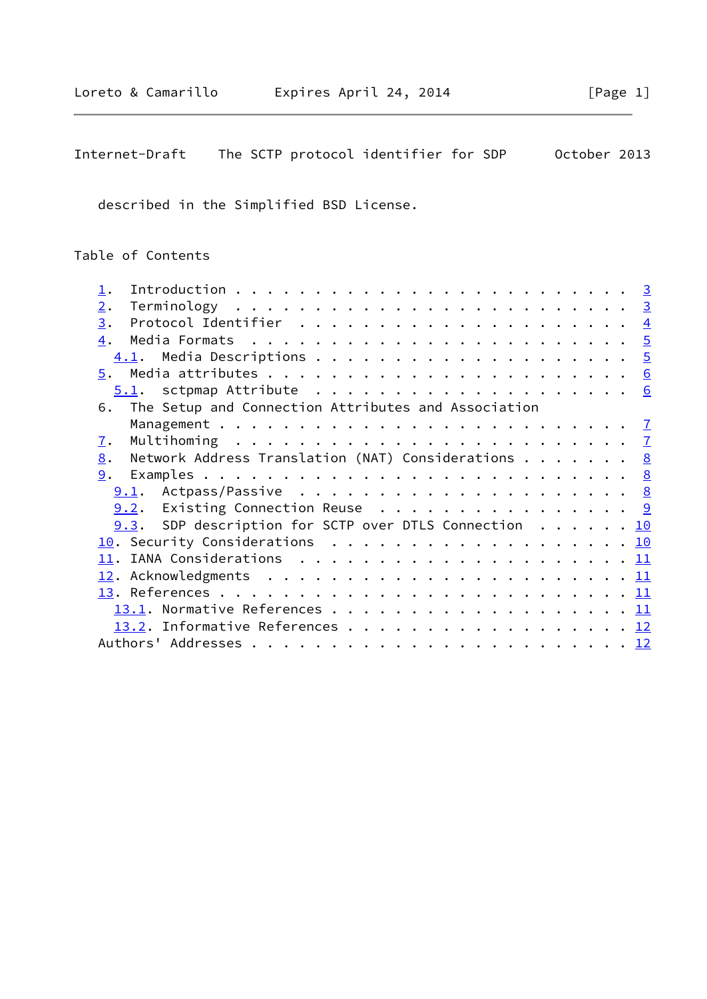# Internet-Draft The SCTP protocol identifier for SDP October 2013

described in the Simplified BSD License.

Table of Contents

| 2.                             |                                                                    |  |  |  |  |  |  |  |  |  |  |  |  |  |
|--------------------------------|--------------------------------------------------------------------|--|--|--|--|--|--|--|--|--|--|--|--|--|
| 3.                             |                                                                    |  |  |  |  |  |  |  |  |  |  |  |  |  |
| 4.                             |                                                                    |  |  |  |  |  |  |  |  |  |  |  |  |  |
|                                |                                                                    |  |  |  |  |  |  |  |  |  |  |  |  |  |
|                                |                                                                    |  |  |  |  |  |  |  |  |  |  |  |  |  |
|                                |                                                                    |  |  |  |  |  |  |  |  |  |  |  |  |  |
| 6.                             | The Setup and Connection Attributes and Association                |  |  |  |  |  |  |  |  |  |  |  |  |  |
|                                |                                                                    |  |  |  |  |  |  |  |  |  |  |  |  |  |
| $\mathbf{I}$ .                 |                                                                    |  |  |  |  |  |  |  |  |  |  |  |  |  |
| 8.                             | Network Address Translation (NAT) Considerations $\cdots \cdots$ 8 |  |  |  |  |  |  |  |  |  |  |  |  |  |
|                                |                                                                    |  |  |  |  |  |  |  |  |  |  |  |  |  |
|                                |                                                                    |  |  |  |  |  |  |  |  |  |  |  |  |  |
|                                | <u>9.2</u> . Existing Connection Reuse 9                           |  |  |  |  |  |  |  |  |  |  |  |  |  |
|                                | 9.3. SDP description for SCTP over DTLS Connection 10              |  |  |  |  |  |  |  |  |  |  |  |  |  |
| 10. Security Considerations 10 |                                                                    |  |  |  |  |  |  |  |  |  |  |  |  |  |
|                                |                                                                    |  |  |  |  |  |  |  |  |  |  |  |  |  |
|                                |                                                                    |  |  |  |  |  |  |  |  |  |  |  |  |  |
|                                |                                                                    |  |  |  |  |  |  |  |  |  |  |  |  |  |
|                                |                                                                    |  |  |  |  |  |  |  |  |  |  |  |  |  |
|                                | 13.2. Informative References 12                                    |  |  |  |  |  |  |  |  |  |  |  |  |  |
|                                |                                                                    |  |  |  |  |  |  |  |  |  |  |  |  |  |
|                                |                                                                    |  |  |  |  |  |  |  |  |  |  |  |  |  |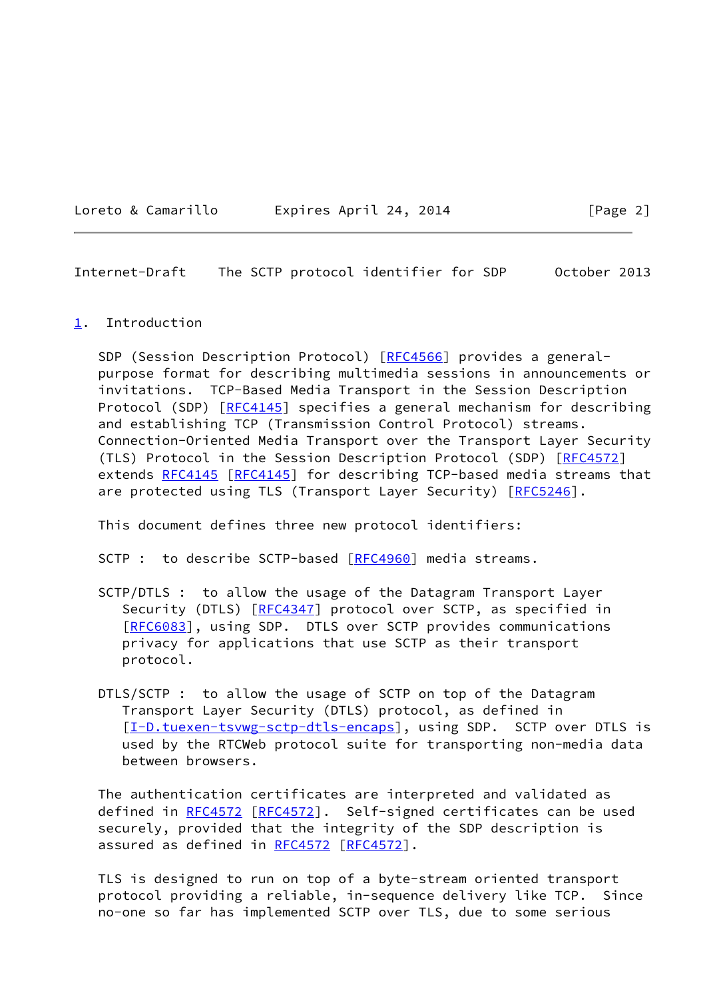<span id="page-2-1"></span>Internet-Draft The SCTP protocol identifier for SDP October 2013

#### <span id="page-2-0"></span>[1](#page-2-0). Introduction

SDP (Session Description Protocol) [[RFC4566\]](https://datatracker.ietf.org/doc/pdf/rfc4566) provides a general purpose format for describing multimedia sessions in announcements or invitations. TCP-Based Media Transport in the Session Description Protocol (SDP) [\[RFC4145](https://datatracker.ietf.org/doc/pdf/rfc4145)] specifies a general mechanism for describing and establishing TCP (Transmission Control Protocol) streams. Connection-Oriented Media Transport over the Transport Layer Security (TLS) Protocol in the Session Description Protocol (SDP) [\[RFC4572](https://datatracker.ietf.org/doc/pdf/rfc4572)] extends [RFC4145](https://datatracker.ietf.org/doc/pdf/rfc4145) [\[RFC4145](https://datatracker.ietf.org/doc/pdf/rfc4145)] for describing TCP-based media streams that are protected using TLS (Transport Layer Security) [[RFC5246\]](https://datatracker.ietf.org/doc/pdf/rfc5246).

This document defines three new protocol identifiers:

SCTP : to describe SCTP-based [\[RFC4960](https://datatracker.ietf.org/doc/pdf/rfc4960)] media streams.

- SCTP/DTLS : to allow the usage of the Datagram Transport Layer Security (DTLS) [[RFC4347\]](https://datatracker.ietf.org/doc/pdf/rfc4347) protocol over SCTP, as specified in [[RFC6083\]](https://datatracker.ietf.org/doc/pdf/rfc6083), using SDP. DTLS over SCTP provides communications privacy for applications that use SCTP as their transport protocol.
- DTLS/SCTP : to allow the usage of SCTP on top of the Datagram Transport Layer Security (DTLS) protocol, as defined in [[I-D.tuexen-tsvwg-sctp-dtls-encaps\]](#page-12-2), using SDP. SCTP over DTLS is used by the RTCWeb protocol suite for transporting non-media data between browsers.

 The authentication certificates are interpreted and validated as defined in [RFC4572](https://datatracker.ietf.org/doc/pdf/rfc4572) [[RFC4572\]](https://datatracker.ietf.org/doc/pdf/rfc4572). Self-signed certificates can be used securely, provided that the integrity of the SDP description is assured as defined in [RFC4572](https://datatracker.ietf.org/doc/pdf/rfc4572) [[RFC4572](https://datatracker.ietf.org/doc/pdf/rfc4572)].

 TLS is designed to run on top of a byte-stream oriented transport protocol providing a reliable, in-sequence delivery like TCP. Since no-one so far has implemented SCTP over TLS, due to some serious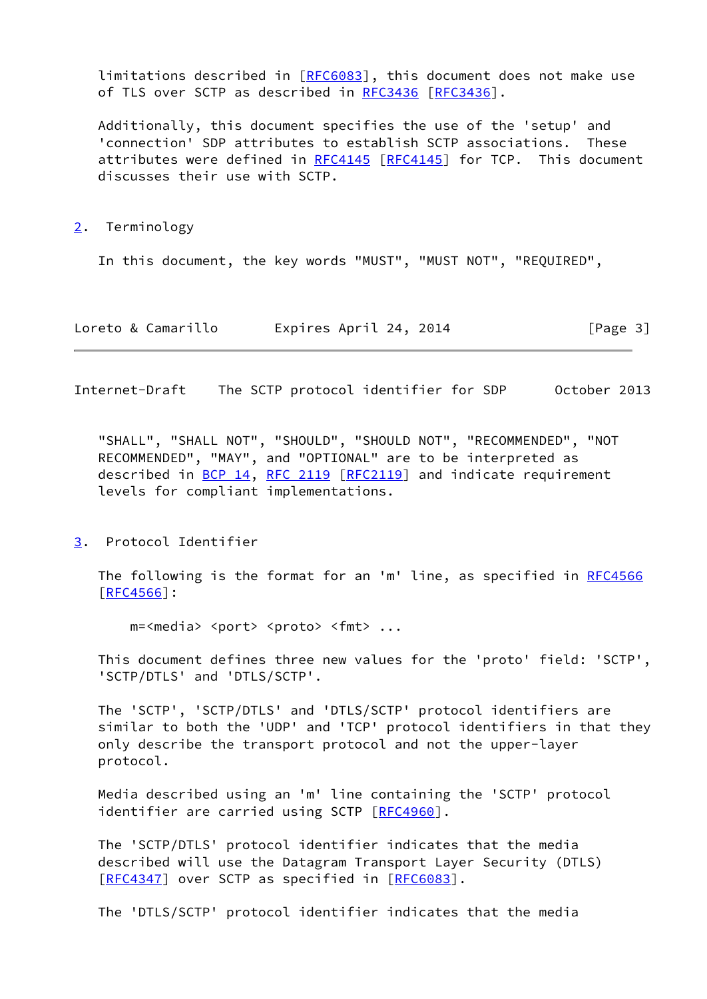limitations described in [\[RFC6083](https://datatracker.ietf.org/doc/pdf/rfc6083)], this document does not make use of TLS over SCTP as described in [RFC3436](https://datatracker.ietf.org/doc/pdf/rfc3436) [\[RFC3436](https://datatracker.ietf.org/doc/pdf/rfc3436)].

 Additionally, this document specifies the use of the 'setup' and 'connection' SDP attributes to establish SCTP associations. These attributes were defined in [RFC4145](https://datatracker.ietf.org/doc/pdf/rfc4145) [[RFC4145\]](https://datatracker.ietf.org/doc/pdf/rfc4145) for TCP. This document discusses their use with SCTP.

<span id="page-3-0"></span>[2](#page-3-0). Terminology

In this document, the key words "MUST", "MUST NOT", "REQUIRED",

Loreto & Camarillo Expires April 24, 2014 [Page 3]

<span id="page-3-2"></span>Internet-Draft The SCTP protocol identifier for SDP October 2013

 "SHALL", "SHALL NOT", "SHOULD", "SHOULD NOT", "RECOMMENDED", "NOT RECOMMENDED", "MAY", and "OPTIONAL" are to be interpreted as described in [BCP 14](https://datatracker.ietf.org/doc/pdf/bcp14), [RFC 2119](https://datatracker.ietf.org/doc/pdf/rfc2119) [[RFC2119](https://datatracker.ietf.org/doc/pdf/rfc2119)] and indicate requirement levels for compliant implementations.

<span id="page-3-1"></span>[3](#page-3-1). Protocol Identifier

The following is the format for an 'm' line, as specified in [RFC4566](https://datatracker.ietf.org/doc/pdf/rfc4566) [\[RFC4566](https://datatracker.ietf.org/doc/pdf/rfc4566)]:

m=<media> <port> <proto> <fmt> ...

 This document defines three new values for the 'proto' field: 'SCTP', 'SCTP/DTLS' and 'DTLS/SCTP'.

 The 'SCTP', 'SCTP/DTLS' and 'DTLS/SCTP' protocol identifiers are similar to both the 'UDP' and 'TCP' protocol identifiers in that they only describe the transport protocol and not the upper-layer protocol.

 Media described using an 'm' line containing the 'SCTP' protocol identifier are carried using SCTP [[RFC4960](https://datatracker.ietf.org/doc/pdf/rfc4960)].

 The 'SCTP/DTLS' protocol identifier indicates that the media described will use the Datagram Transport Layer Security (DTLS) [\[RFC4347](https://datatracker.ietf.org/doc/pdf/rfc4347)] over SCTP as specified in [\[RFC6083](https://datatracker.ietf.org/doc/pdf/rfc6083)].

The 'DTLS/SCTP' protocol identifier indicates that the media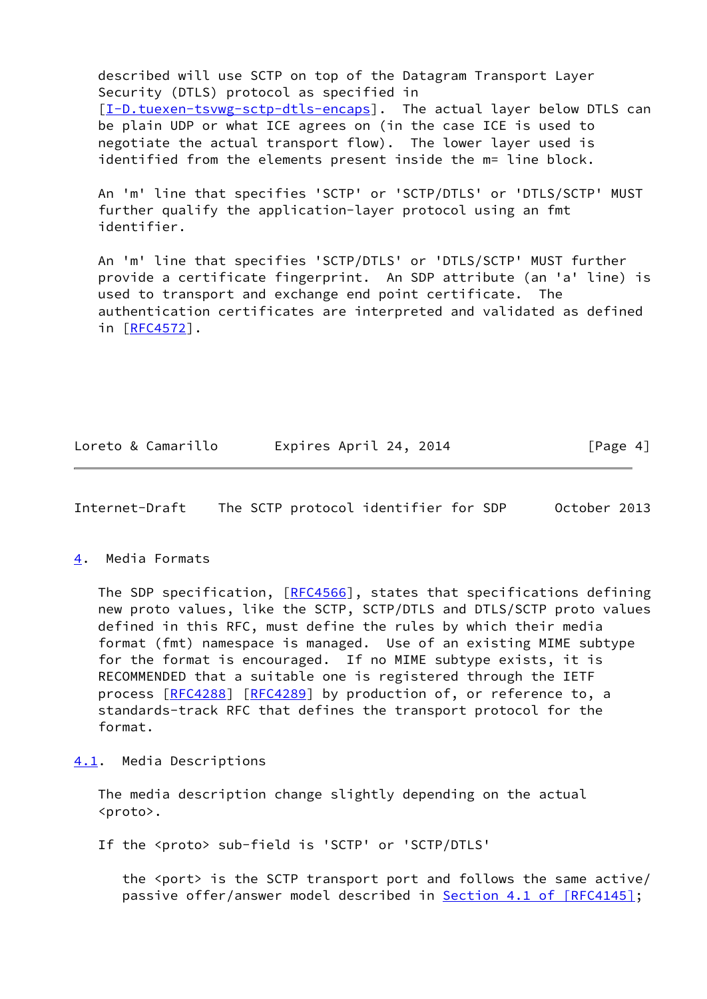described will use SCTP on top of the Datagram Transport Layer Security (DTLS) protocol as specified in [\[I-D.tuexen-tsvwg-sctp-dtls-encaps](#page-12-2)]. The actual layer below DTLS can be plain UDP or what ICE agrees on (in the case ICE is used to negotiate the actual transport flow). The lower layer used is identified from the elements present inside the m= line block.

 An 'm' line that specifies 'SCTP' or 'SCTP/DTLS' or 'DTLS/SCTP' MUST further qualify the application-layer protocol using an fmt identifier.

 An 'm' line that specifies 'SCTP/DTLS' or 'DTLS/SCTP' MUST further provide a certificate fingerprint. An SDP attribute (an 'a' line) is used to transport and exchange end point certificate. The authentication certificates are interpreted and validated as defined in [[RFC4572\]](https://datatracker.ietf.org/doc/pdf/rfc4572).

Loreto & Camarillo Expires April 24, 2014 [Page 4]

<span id="page-4-1"></span>Internet-Draft The SCTP protocol identifier for SDP October 2013

### <span id="page-4-0"></span>[4](#page-4-0). Media Formats

The SDP specification, [\[RFC4566](https://datatracker.ietf.org/doc/pdf/rfc4566)], states that specifications defining new proto values, like the SCTP, SCTP/DTLS and DTLS/SCTP proto values defined in this RFC, must define the rules by which their media format (fmt) namespace is managed. Use of an existing MIME subtype for the format is encouraged. If no MIME subtype exists, it is RECOMMENDED that a suitable one is registered through the IETF process [\[RFC4288](https://datatracker.ietf.org/doc/pdf/rfc4288)] [[RFC4289](https://datatracker.ietf.org/doc/pdf/rfc4289)] by production of, or reference to, a standards-track RFC that defines the transport protocol for the format.

<span id="page-4-2"></span>[4.1](#page-4-2). Media Descriptions

 The media description change slightly depending on the actual <proto>.

If the <proto> sub-field is 'SCTP' or 'SCTP/DTLS'

the <port> is the SCTP transport port and follows the same active/ passive offer/answer model described in **Section 4.1 of [RFC4145]**;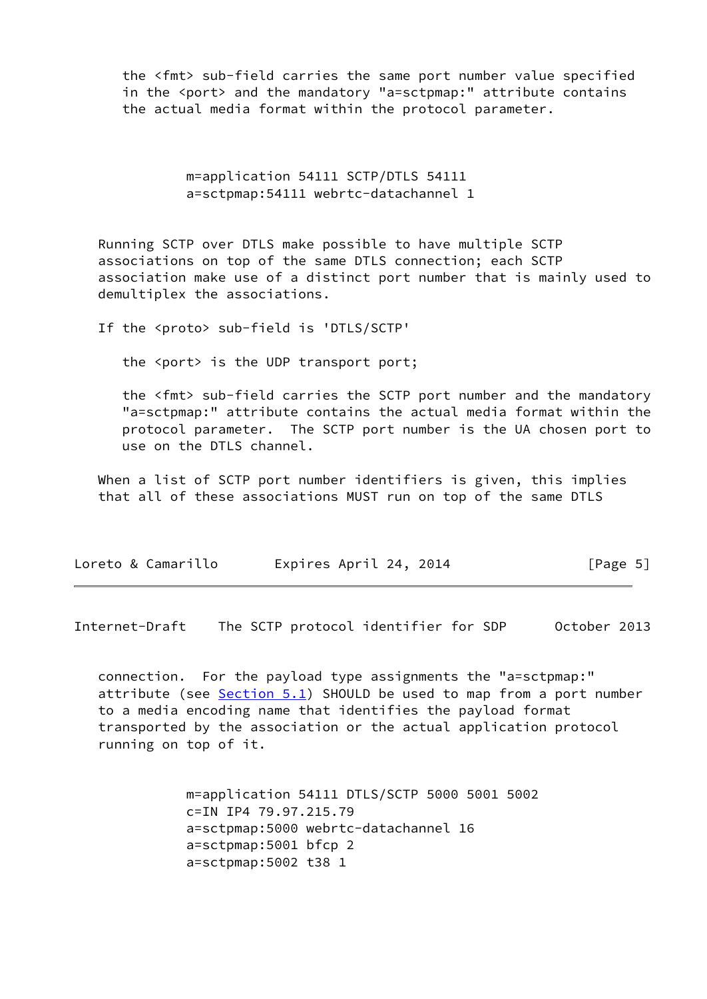the <fmt> sub-field carries the same port number value specified in the <port> and the mandatory "a=sctpmap:" attribute contains the actual media format within the protocol parameter.

> m=application 54111 SCTP/DTLS 54111 a=sctpmap:54111 webrtc-datachannel 1

 Running SCTP over DTLS make possible to have multiple SCTP associations on top of the same DTLS connection; each SCTP association make use of a distinct port number that is mainly used to demultiplex the associations.

If the <proto> sub-field is 'DTLS/SCTP'

the <port> is the UDP transport port;

 the <fmt> sub-field carries the SCTP port number and the mandatory "a=sctpmap:" attribute contains the actual media format within the protocol parameter. The SCTP port number is the UA chosen port to use on the DTLS channel.

 When a list of SCTP port number identifiers is given, this implies that all of these associations MUST run on top of the same DTLS

| Loreto & Camarillo | Expires April 24, 2014 | [Page 5] |
|--------------------|------------------------|----------|
|--------------------|------------------------|----------|

<span id="page-5-0"></span>Internet-Draft The SCTP protocol identifier for SDP October 2013

 connection. For the payload type assignments the "a=sctpmap:" attribute (see  $Section 5.1$ ) SHOULD be used to map from a port number to a media encoding name that identifies the payload format transported by the association or the actual application protocol running on top of it.

> m=application 54111 DTLS/SCTP 5000 5001 5002 c=IN IP4 79.97.215.79 a=sctpmap:5000 webrtc-datachannel 16 a=sctpmap:5001 bfcp 2 a=sctpmap:5002 t38 1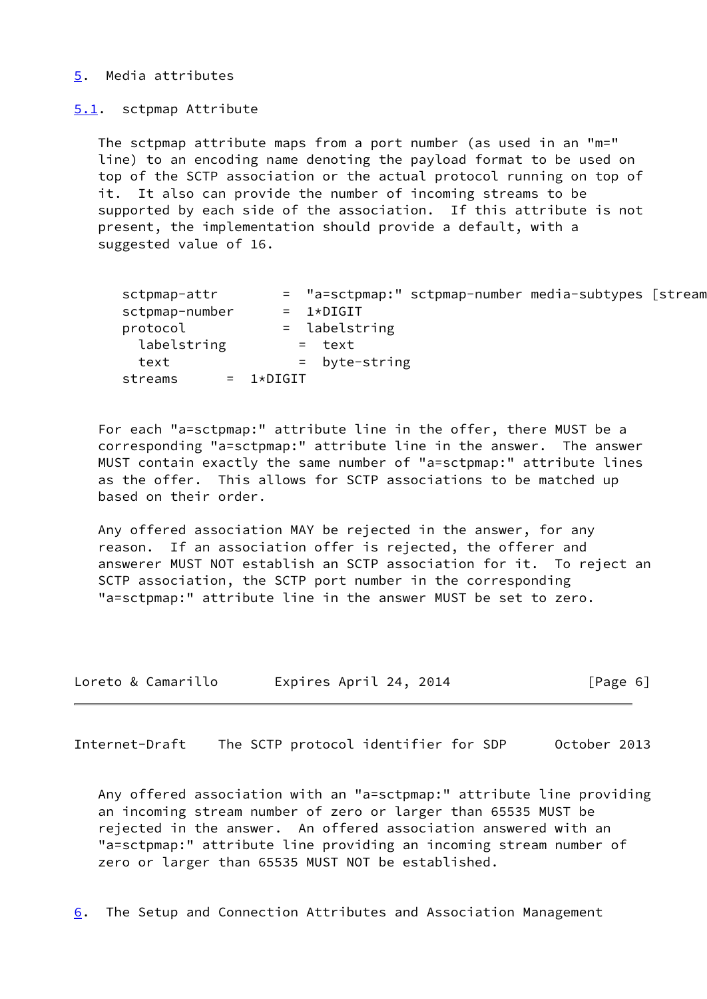#### <span id="page-6-0"></span>[5](#page-6-0). Media attributes

#### <span id="page-6-1"></span>[5.1](#page-6-1). sctpmap Attribute

 The sctpmap attribute maps from a port number (as used in an "m=" line) to an encoding name denoting the payload format to be used on top of the SCTP association or the actual protocol running on top of it. It also can provide the number of incoming streams to be supported by each side of the association. If this attribute is not present, the implementation should provide a default, with a suggested value of 16.

| sctpmap-attr   |              |                 | = "a=sctpmap:" sctpmap-number media-subtypes [stream |  |
|----------------|--------------|-----------------|------------------------------------------------------|--|
| sctpmap-number |              | $= 1*DTGIT$     |                                                      |  |
| protocol       |              | $=$ labelstring |                                                      |  |
| labelstring    |              | = text          |                                                      |  |
| text           |              | $=$ byte-string |                                                      |  |
| streams        | $= 1*DiffIT$ |                 |                                                      |  |

 For each "a=sctpmap:" attribute line in the offer, there MUST be a corresponding "a=sctpmap:" attribute line in the answer. The answer MUST contain exactly the same number of "a=sctpmap:" attribute lines as the offer. This allows for SCTP associations to be matched up based on their order.

 Any offered association MAY be rejected in the answer, for any reason. If an association offer is rejected, the offerer and answerer MUST NOT establish an SCTP association for it. To reject an SCTP association, the SCTP port number in the corresponding "a=sctpmap:" attribute line in the answer MUST be set to zero.

| Loreto & Camarillo | Expires April 24, 2014 | [Page 6] |
|--------------------|------------------------|----------|
|--------------------|------------------------|----------|

<span id="page-6-2"></span>Internet-Draft The SCTP protocol identifier for SDP October 2013

 Any offered association with an "a=sctpmap:" attribute line providing an incoming stream number of zero or larger than 65535 MUST be rejected in the answer. An offered association answered with an "a=sctpmap:" attribute line providing an incoming stream number of zero or larger than 65535 MUST NOT be established.

<span id="page-6-3"></span>[6](#page-6-3). The Setup and Connection Attributes and Association Management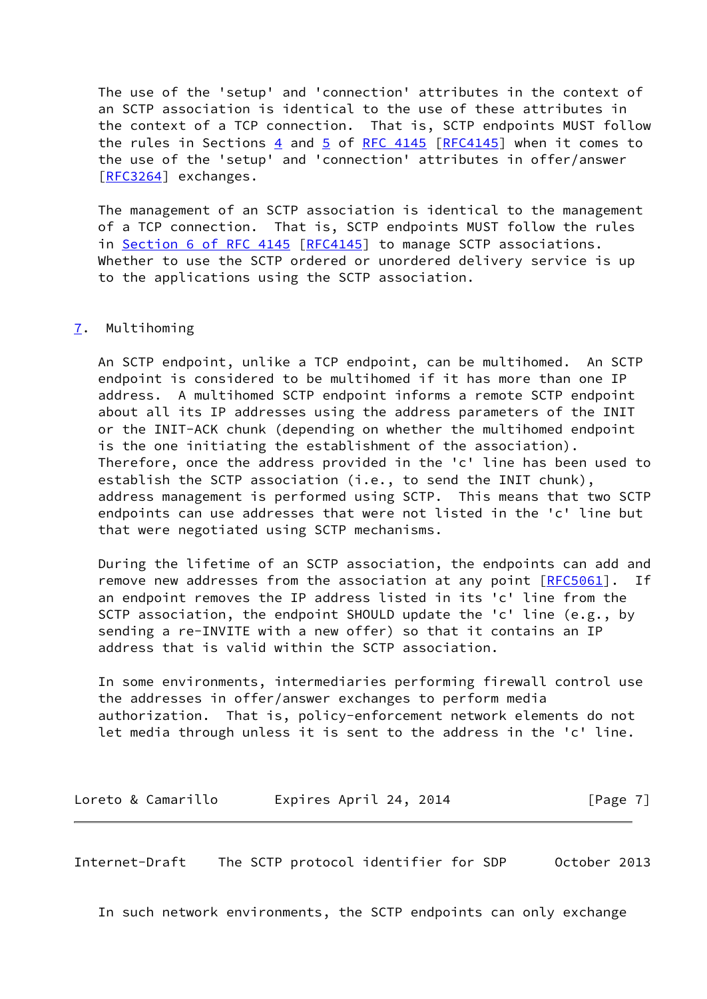The use of the 'setup' and 'connection' attributes in the context of an SCTP association is identical to the use of these attributes in the context of a TCP connection. That is, SCTP endpoints MUST follow the rules in Sections  $4$  and  $5$  of RFC 414[5](#page-6-0) [[RFC4145](https://datatracker.ietf.org/doc/pdf/rfc4145)] when it comes to the use of the 'setup' and 'connection' attributes in offer/answer [\[RFC3264](https://datatracker.ietf.org/doc/pdf/rfc3264)] exchanges.

 The management of an SCTP association is identical to the management of a TCP connection. That is, SCTP endpoints MUST follow the rules in Section [6 of RFC 4145](https://datatracker.ietf.org/doc/pdf/rfc4145#section-6) [\[RFC4145](https://datatracker.ietf.org/doc/pdf/rfc4145)] to manage SCTP associations. Whether to use the SCTP ordered or unordered delivery service is up to the applications using the SCTP association.

#### <span id="page-7-0"></span>[7](#page-7-0). Multihoming

 An SCTP endpoint, unlike a TCP endpoint, can be multihomed. An SCTP endpoint is considered to be multihomed if it has more than one IP address. A multihomed SCTP endpoint informs a remote SCTP endpoint about all its IP addresses using the address parameters of the INIT or the INIT-ACK chunk (depending on whether the multihomed endpoint is the one initiating the establishment of the association). Therefore, once the address provided in the 'c' line has been used to establish the SCTP association (i.e., to send the INIT chunk), address management is performed using SCTP. This means that two SCTP endpoints can use addresses that were not listed in the 'c' line but that were negotiated using SCTP mechanisms.

 During the lifetime of an SCTP association, the endpoints can add and remove new addresses from the association at any point [\[RFC5061](https://datatracker.ietf.org/doc/pdf/rfc5061)]. If an endpoint removes the IP address listed in its 'c' line from the SCTP association, the endpoint SHOULD update the 'c' line (e.g., by sending a re-INVITE with a new offer) so that it contains an IP address that is valid within the SCTP association.

 In some environments, intermediaries performing firewall control use the addresses in offer/answer exchanges to perform media authorization. That is, policy-enforcement network elements do not let media through unless it is sent to the address in the 'c' line.

Loreto & Camarillo Expires April 24, 2014 [Page 7]

<span id="page-7-1"></span>Internet-Draft The SCTP protocol identifier for SDP October 2013

In such network environments, the SCTP endpoints can only exchange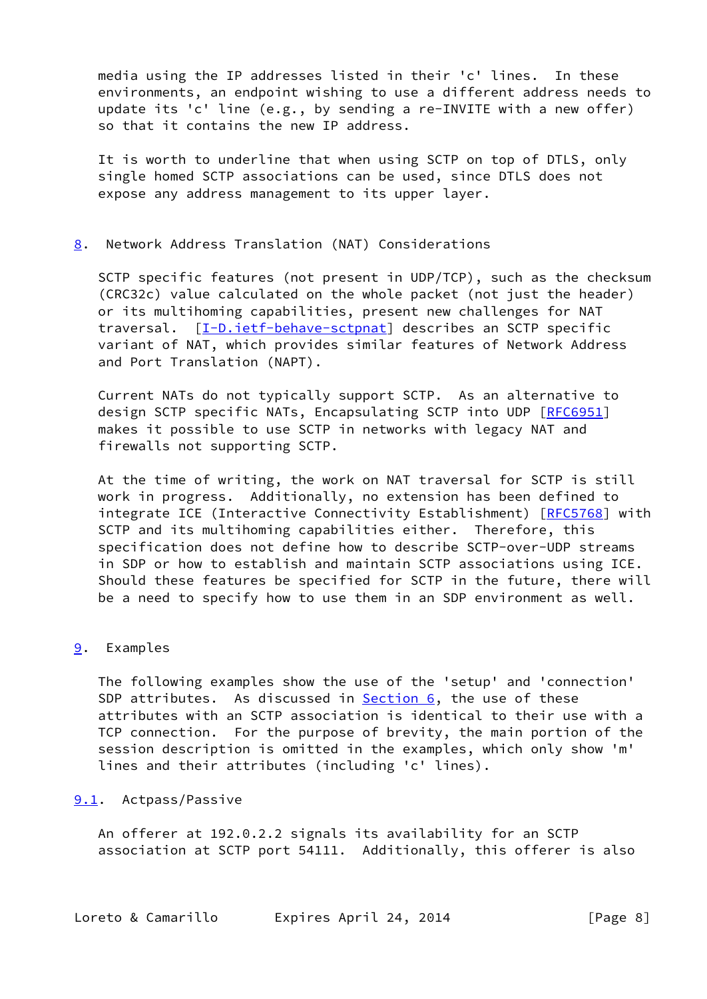media using the IP addresses listed in their 'c' lines. In these environments, an endpoint wishing to use a different address needs to update its 'c' line (e.g., by sending a re-INVITE with a new offer) so that it contains the new IP address.

 It is worth to underline that when using SCTP on top of DTLS, only single homed SCTP associations can be used, since DTLS does not expose any address management to its upper layer.

#### <span id="page-8-0"></span>[8](#page-8-0). Network Address Translation (NAT) Considerations

 SCTP specific features (not present in UDP/TCP), such as the checksum (CRC32c) value calculated on the whole packet (not just the header) or its multihoming capabilities, present new challenges for NAT traversal. [\[I-D.ietf-behave-sctpnat](#page-13-0)] describes an SCTP specific variant of NAT, which provides similar features of Network Address and Port Translation (NAPT).

 Current NATs do not typically support SCTP. As an alternative to design SCTP specific NATs, Encapsulating SCTP into UDP [\[RFC6951](https://datatracker.ietf.org/doc/pdf/rfc6951)] makes it possible to use SCTP in networks with legacy NAT and firewalls not supporting SCTP.

 At the time of writing, the work on NAT traversal for SCTP is still work in progress. Additionally, no extension has been defined to integrate ICE (Interactive Connectivity Establishment) [\[RFC5768](https://datatracker.ietf.org/doc/pdf/rfc5768)] with SCTP and its multihoming capabilities either. Therefore, this specification does not define how to describe SCTP-over-UDP streams in SDP or how to establish and maintain SCTP associations using ICE. Should these features be specified for SCTP in the future, there will be a need to specify how to use them in an SDP environment as well.

#### <span id="page-8-1"></span>[9](#page-8-1). Examples

 The following examples show the use of the 'setup' and 'connection' SDP attributes. As discussed in  $Section 6$ , the use of these attributes with an SCTP association is identical to their use with a TCP connection. For the purpose of brevity, the main portion of the session description is omitted in the examples, which only show 'm' lines and their attributes (including 'c' lines).

### <span id="page-8-2"></span>[9.1](#page-8-2). Actpass/Passive

 An offerer at 192.0.2.2 signals its availability for an SCTP association at SCTP port 54111. Additionally, this offerer is also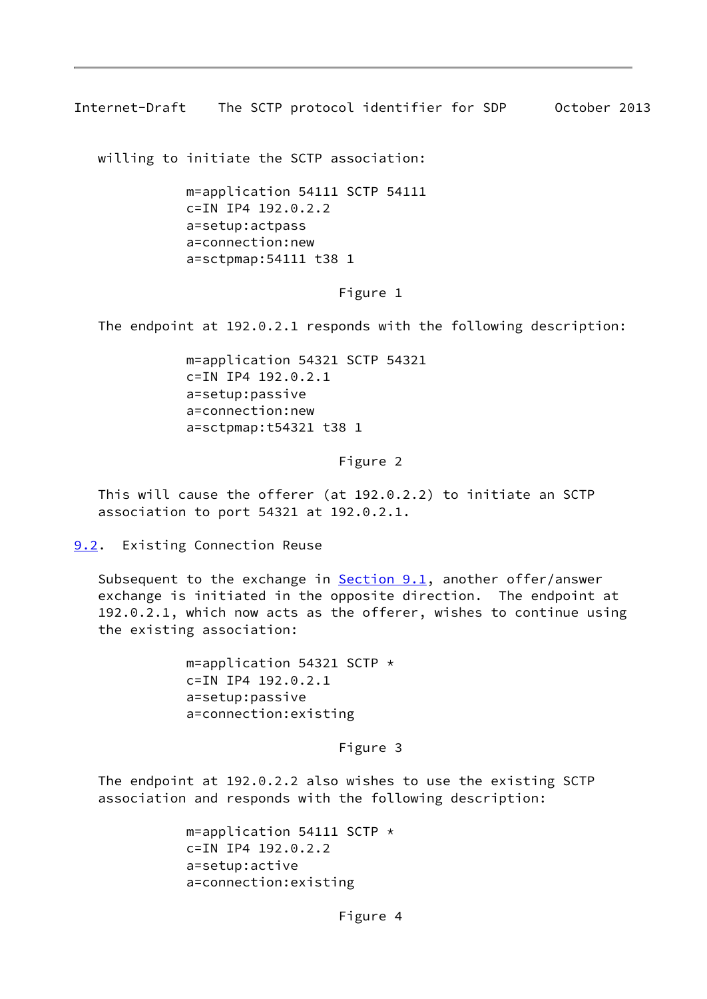<span id="page-9-1"></span>Internet-Draft The SCTP protocol identifier for SDP October 2013

willing to initiate the SCTP association:

 m=application 54111 SCTP 54111 c=IN IP4 192.0.2.2 a=setup:actpass a=connection:new a=sctpmap:54111 t38 1

### Figure 1

The endpoint at 192.0.2.1 responds with the following description:

 m=application 54321 SCTP 54321 c=IN IP4 192.0.2.1 a=setup:passive a=connection:new a=sctpmap:t54321 t38 1

#### Figure 2

 This will cause the offerer (at 192.0.2.2) to initiate an SCTP association to port 54321 at 192.0.2.1.

<span id="page-9-0"></span>[9.2](#page-9-0). Existing Connection Reuse

Subsequent to the exchange in  $Section 9.1$ , another offer/answer exchange is initiated in the opposite direction. The endpoint at 192.0.2.1, which now acts as the offerer, wishes to continue using the existing association:

> m=application 54321 SCTP \* c=IN IP4 192.0.2.1 a=setup:passive a=connection:existing

> > Figure 3

 The endpoint at 192.0.2.2 also wishes to use the existing SCTP association and responds with the following description:

> m=application 54111 SCTP \* c=IN IP4 192.0.2.2 a=setup:active a=connection:existing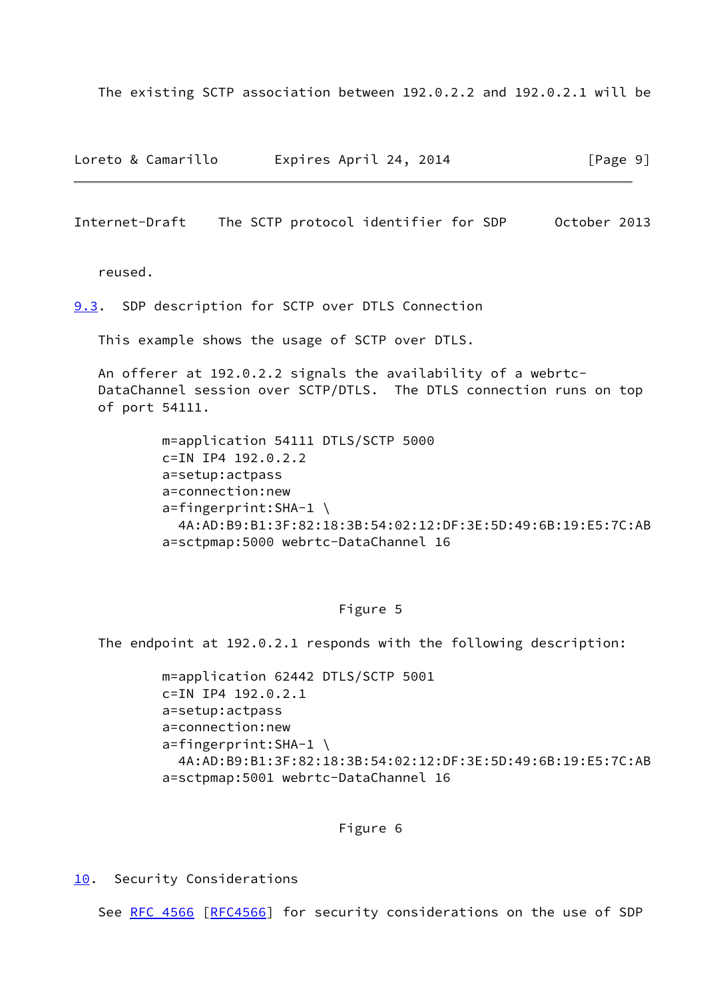The existing SCTP association between 192.0.2.2 and 192.0.2.1 will be

Loreto & Camarillo Expires April 24, 2014 [Page 9]

<span id="page-10-1"></span>Internet-Draft The SCTP protocol identifier for SDP October 2013

reused.

<span id="page-10-0"></span>[9.3](#page-10-0). SDP description for SCTP over DTLS Connection

This example shows the usage of SCTP over DTLS.

 An offerer at 192.0.2.2 signals the availability of a webrtc- DataChannel session over SCTP/DTLS. The DTLS connection runs on top of port 54111.

> m=application 54111 DTLS/SCTP 5000 c=IN IP4 192.0.2.2 a=setup:actpass a=connection:new a=fingerprint:SHA-1 \ 4A:AD:B9:B1:3F:82:18:3B:54:02:12:DF:3E:5D:49:6B:19:E5:7C:AB a=sctpmap:5000 webrtc-DataChannel 16

#### Figure 5

The endpoint at 192.0.2.1 responds with the following description:

 m=application 62442 DTLS/SCTP 5001 c=IN IP4 192.0.2.1 a=setup:actpass a=connection:new a=fingerprint:SHA-1 \ 4A:AD:B9:B1:3F:82:18:3B:54:02:12:DF:3E:5D:49:6B:19:E5:7C:AB a=sctpmap:5001 webrtc-DataChannel 16

Figure 6

<span id="page-10-2"></span>[10.](#page-10-2) Security Considerations

See [RFC 4566 \[RFC4566](https://datatracker.ietf.org/doc/pdf/rfc4566)] for security considerations on the use of SDP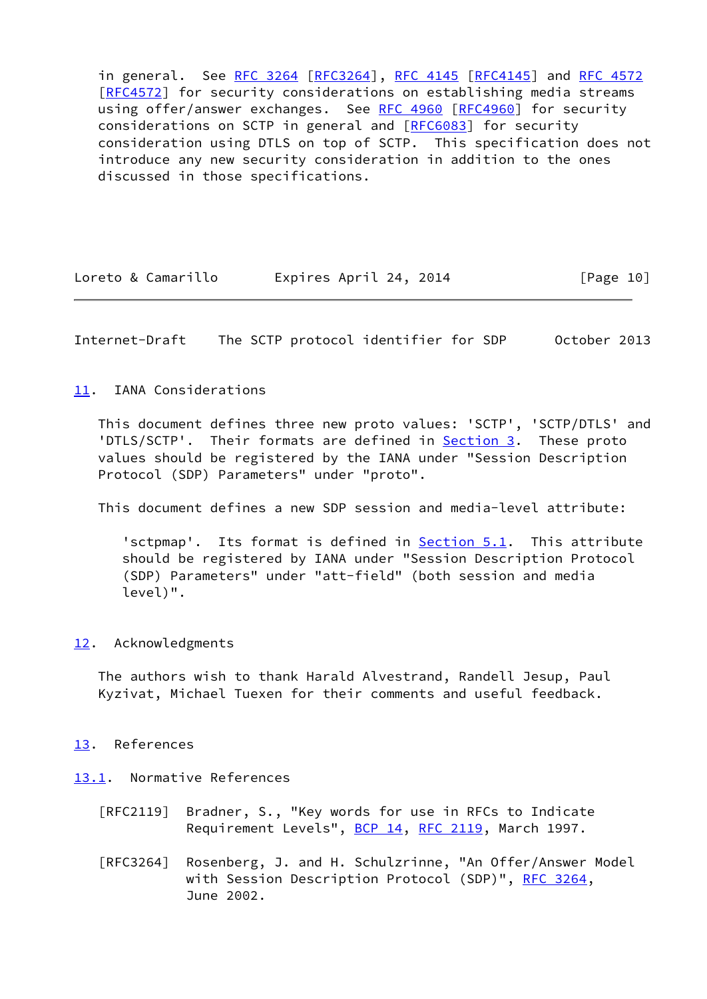in general. See [RFC 3264](https://datatracker.ietf.org/doc/pdf/rfc3264) [[RFC3264](https://datatracker.ietf.org/doc/pdf/rfc3264)], [RFC 4145](https://datatracker.ietf.org/doc/pdf/rfc4145) [[RFC4145](https://datatracker.ietf.org/doc/pdf/rfc4145)] and [RFC 4572](https://datatracker.ietf.org/doc/pdf/rfc4572) [\[RFC4572](https://datatracker.ietf.org/doc/pdf/rfc4572)] for security considerations on establishing media streams using offer/answer exchanges. See [RFC 4960 \[RFC4960](https://datatracker.ietf.org/doc/pdf/rfc4960)] for security considerations on SCTP in general and [[RFC6083](https://datatracker.ietf.org/doc/pdf/rfc6083)] for security consideration using DTLS on top of SCTP. This specification does not introduce any new security consideration in addition to the ones discussed in those specifications.

| Loreto & Camarillo | Expires April 24, 2014 | [Page 10] |
|--------------------|------------------------|-----------|
|--------------------|------------------------|-----------|

<span id="page-11-1"></span>Internet-Draft The SCTP protocol identifier for SDP October 2013

<span id="page-11-0"></span>[11.](#page-11-0) IANA Considerations

 This document defines three new proto values: 'SCTP', 'SCTP/DTLS' and 'DTLS/SCTP'. Their formats are defined in **Section 3**. These proto values should be registered by the IANA under "Session Description Protocol (SDP) Parameters" under "proto".

This document defines a new SDP session and media-level attribute:

'sctpmap'. Its format is defined in **Section 5.1**. This attribute should be registered by IANA under "Session Description Protocol (SDP) Parameters" under "att-field" (both session and media level)".

#### <span id="page-11-2"></span>[12.](#page-11-2) Acknowledgments

 The authors wish to thank Harald Alvestrand, Randell Jesup, Paul Kyzivat, Michael Tuexen for their comments and useful feedback.

#### <span id="page-11-3"></span>[13.](#page-11-3) References

<span id="page-11-4"></span>[13.1](#page-11-4). Normative References

- [RFC2119] Bradner, S., "Key words for use in RFCs to Indicate Requirement Levels", [BCP 14](https://datatracker.ietf.org/doc/pdf/bcp14), [RFC 2119](https://datatracker.ietf.org/doc/pdf/rfc2119), March 1997.
- [RFC3264] Rosenberg, J. and H. Schulzrinne, "An Offer/Answer Model with Session Description Protocol (SDP)", [RFC 3264](https://datatracker.ietf.org/doc/pdf/rfc3264), June 2002.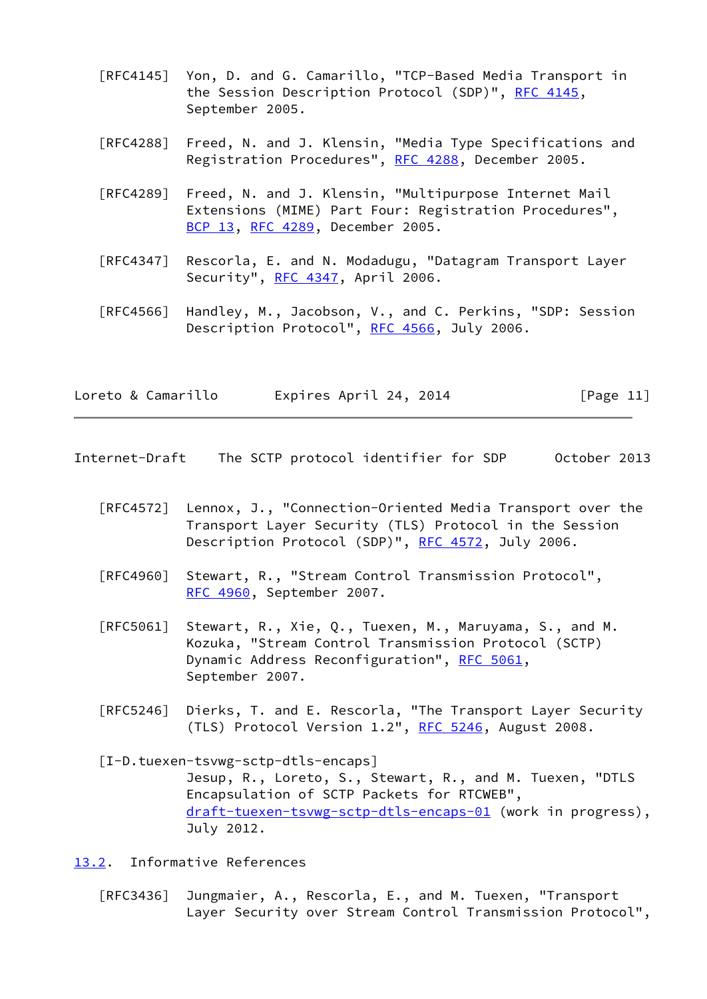- [RFC4145] Yon, D. and G. Camarillo, "TCP-Based Media Transport in the Session Description Protocol (SDP)", [RFC 4145,](https://datatracker.ietf.org/doc/pdf/rfc4145) September 2005.
- [RFC4288] Freed, N. and J. Klensin, "Media Type Specifications and Registration Procedures", [RFC 4288](https://datatracker.ietf.org/doc/pdf/rfc4288), December 2005.
- [RFC4289] Freed, N. and J. Klensin, "Multipurpose Internet Mail Extensions (MIME) Part Four: Registration Procedures", [BCP 13](https://datatracker.ietf.org/doc/pdf/bcp13), [RFC 4289,](https://datatracker.ietf.org/doc/pdf/rfc4289) December 2005.
- [RFC4347] Rescorla, E. and N. Modadugu, "Datagram Transport Layer Security", [RFC 4347](https://datatracker.ietf.org/doc/pdf/rfc4347), April 2006.
- [RFC4566] Handley, M., Jacobson, V., and C. Perkins, "SDP: Session Description Protocol", [RFC 4566](https://datatracker.ietf.org/doc/pdf/rfc4566), July 2006.

| Loreto & Camarillo | Expires April 24, 2014 | [Page 11] |
|--------------------|------------------------|-----------|
|--------------------|------------------------|-----------|

- <span id="page-12-1"></span>Internet-Draft The SCTP protocol identifier for SDP October 2013
	- [RFC4572] Lennox, J., "Connection-Oriented Media Transport over the Transport Layer Security (TLS) Protocol in the Session Description Protocol (SDP)", [RFC 4572](https://datatracker.ietf.org/doc/pdf/rfc4572), July 2006.
	- [RFC4960] Stewart, R., "Stream Control Transmission Protocol", [RFC 4960,](https://datatracker.ietf.org/doc/pdf/rfc4960) September 2007.
	- [RFC5061] Stewart, R., Xie, Q., Tuexen, M., Maruyama, S., and M. Kozuka, "Stream Control Transmission Protocol (SCTP) Dynamic Address Reconfiguration", [RFC 5061](https://datatracker.ietf.org/doc/pdf/rfc5061), September 2007.
	- [RFC5246] Dierks, T. and E. Rescorla, "The Transport Layer Security (TLS) Protocol Version 1.2", [RFC 5246](https://datatracker.ietf.org/doc/pdf/rfc5246), August 2008.
	- [I-D.tuexen-tsvwg-sctp-dtls-encaps] Jesup, R., Loreto, S., Stewart, R., and M. Tuexen, "DTLS Encapsulation of SCTP Packets for RTCWEB", [draft-tuexen-tsvwg-sctp-dtls-encaps-01](https://datatracker.ietf.org/doc/pdf/draft-tuexen-tsvwg-sctp-dtls-encaps-01) (work in progress), July 2012.

<span id="page-12-2"></span><span id="page-12-0"></span>[13.2](#page-12-0). Informative References

 [RFC3436] Jungmaier, A., Rescorla, E., and M. Tuexen, "Transport Layer Security over Stream Control Transmission Protocol",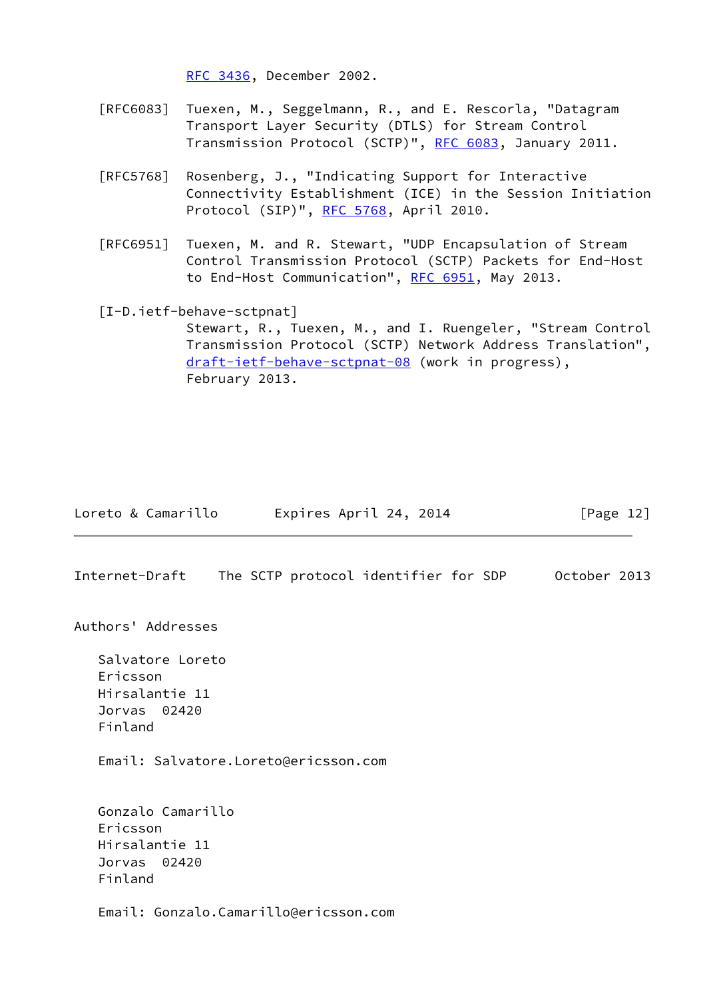[RFC 3436,](https://datatracker.ietf.org/doc/pdf/rfc3436) December 2002.

- [RFC6083] Tuexen, M., Seggelmann, R., and E. Rescorla, "Datagram Transport Layer Security (DTLS) for Stream Control Transmission Protocol (SCTP)", [RFC 6083](https://datatracker.ietf.org/doc/pdf/rfc6083), January 2011.
- [RFC5768] Rosenberg, J., "Indicating Support for Interactive Connectivity Establishment (ICE) in the Session Initiation Protocol (SIP)", [RFC 5768,](https://datatracker.ietf.org/doc/pdf/rfc5768) April 2010.
- [RFC6951] Tuexen, M. and R. Stewart, "UDP Encapsulation of Stream Control Transmission Protocol (SCTP) Packets for End-Host to End-Host Communication", [RFC 6951,](https://datatracker.ietf.org/doc/pdf/rfc6951) May 2013.
- <span id="page-13-0"></span>[I-D.ietf-behave-sctpnat]

 Stewart, R., Tuexen, M., and I. Ruengeler, "Stream Control Transmission Protocol (SCTP) Network Address Translation", [draft-ietf-behave-sctpnat-08](https://datatracker.ietf.org/doc/pdf/draft-ietf-behave-sctpnat-08) (work in progress), February 2013.

| Loreto & Camarillo | Expires April 24, 2014 | [Page 12] |
|--------------------|------------------------|-----------|
|--------------------|------------------------|-----------|

Internet-Draft The SCTP protocol identifier for SDP October 2013

Authors' Addresses

 Salvatore Loreto Ericsson Hirsalantie 11 Jorvas 02420 Finland

Email: Salvatore.Loreto@ericsson.com

 Gonzalo Camarillo Ericsson Hirsalantie 11 Jorvas 02420 Finland

Email: Gonzalo.Camarillo@ericsson.com